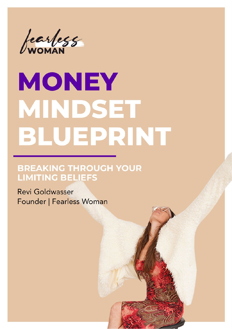

# MONEY **MINDSET** BLUEPRINT

#### **BREAKING THROUGH YOUR LIMITING BELIEFS**

Revi Goldwasser Founder | Fearless Woman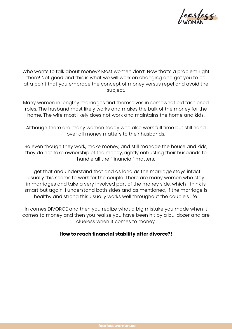

Who wants to talk about money? Most women don't. Now that's a problem right there! Not good and this is what we will work on changing and get you to be at a point that you embrace the concept of money versus repel and avoid the subject.

Many women in lengthy marriages find themselves in somewhat old fashioned roles. The husband most likely works and makes the bulk of the money for the home. The wife most likely does not work and maintains the home and kids.

Although there are many women today who also work full time but still hand over all money matters to their husbands.

So even though they work, make money, and still manage the house and kids, they do not take ownership of the money, rightly entrusting their husbands to handle all the "financial" matters.

I get that and understand that and as long as the marriage stays intact usually this seems to work for the couple. There are many women who stay in marriages and take a very involved part of the money side, which I think is smart but again, I understand both sides and as mentioned, if the marriage is healthy and strong this usually works well throughout the couple's life.

In comes DIVORCE and then you realize what a big mistake you made when it comes to money and then you realize you have been hit by a bulldozer and are clueless when it comes to money.

#### **How to reach financial stability after divorce?!**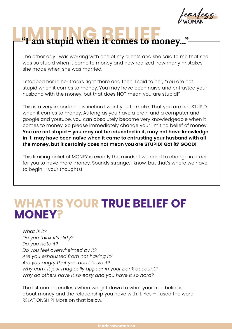carlegg

## L<sup>4</sup>I am stupid when it comes to money..."

The other day I was working with one of my clients and she said to me that she was so stupid when it came to money and now realized how many mistakes she made when she was married.

I stopped her in her tracks right there and then. I said to her, "You are not stupid when it comes to money. You may have been naïve and entrusted your husband with the money, but that does NOT mean you are stupid!"

This is a very important distinction I want you to make. That you are not STUPID when it comes to money. As long as you have a brain and a computer and google and youtube, you can absolutely become very knowledgeable when it comes to money. So please immediately change your limiting belief of money. **You are not stupid – you may not be educated in it, may not have knowledge in it, may have been naïve when it came to entrusting your husband with all the money, but it certainly does not mean you are STUPID! Got it? GOOD!**

This limiting belief of MONEY is exactly the mindset we need to change in order for you to have more money. Sounds strange, I know, but that's where we have to begin – your thoughts!

#### **WHAT IS YOUR TRUE BELIEF OF MONEY?**

*What is it? Do you think it's dirty? Do you hate it? Do you feel overwhelmed by it? Are you exhausted from not having it? Are you angry that you don't have it? Why can't it just magically appear in your bank account? Why do others have it so easy and you have it so hard?*

The list can be endless when we get down to what your true belief is about money and the relationship you have with it. Yes – I used the word RELATIONSHIP! More on that below.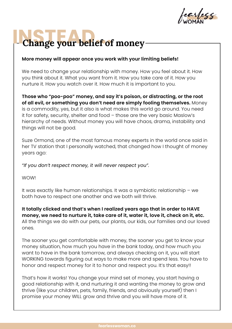earless

## **LETTE Change your belief of money**

#### **More money will appear once you work with your limiting beliefs!**

We need to change your relationship with money. How you feel about it. How you think about it. What you want from it. How you take care of it. How you nurture it. How you watch over it. How much it is important to you.

**Those who "poo-poo" money, and say it's poison, or distracting, or the root of all evil, or something you don't need are simply fooling themselves.** Money is a commodity, yes, but it also is what makes this world go around. You need it for safety, security, shelter and food – those are the very basic Maslow's hierarchy of needs. Without money you will have chaos, drama, instability and things will not be good.

Suze Ormond, one of the most famous money experts in the world once said in her TV station that I personally watched, that changed how I thought of money years ago:

*"If you don't respect money, it will never respect you".*

WOW!

It was exactly like human relationships. It was a symbiotic relationship – we both have to respect one another and we both will thrive.

**It totally clicked and that's when I realized years ago that in order to HAVE money, we need to nurture it, take care of it, water it, love it, check on it, etc.**  All the things we do with our pets, our plants, our kids, our families and our loved ones.

The sooner you get comfortable with money, the sooner you get to know your money situation, how much you have in the bank today, and how much you want to have in the bank tomorrow, and always checking on it, you will start WORKING towards figuring out ways to make more and spend less. You have to honor and respect money for it to honor and respect you. It's that easy!!

That's how it works! You change your mind set of money, you start having a good relationship with it, and nurturing it and wanting the money to grow and thrive (like your children, pets, family, friends, and obviously yourself) then I promise your money WILL grow and thrive and you will have more of it.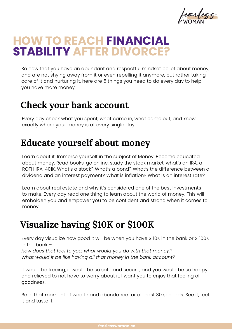learless

### **HOW TO REACH FINANCIAL STABILITY AFTER DIVORCE?**

So now that you have an abundant and respectful mindset belief about money, and are not shying away from it or even repelling it anymore, but rather taking care of it and nurturing it, here are 5 things you need to do every day to help you have more money:

#### **Check your bank account**

Every day check what you spent, what came in, what came out, and know exactly where your money is at every single day.

#### **Educate yourself about money**

Learn about it. Immerse yourself in the subject of Money. Become educated about money. Read books, go online, study the stock market, what's an IRA, a ROTH IRA, 401K. What's a stock? What's a bond? What's the difference between a dividend and an interest payment? What is inflation? What is an interest rate?

Learn about real estate and why it's considered one of the best investments to make. Every day read one thing to learn about the world of money. This will embolden you and empower you to be confident and strong when it comes to money.

#### **Visualize having \$10K or \$100K**

Every day visualize how good it will be when you have \$ 10K in the bank or \$ 100K in the bank –

*how does that feel to you, what would you do with that money? What would it be like having all that money in the bank account?* 

It would be freeing, it would be so safe and secure, and you would be so happy and relieved to not have to worry about it. I want you to enjoy that feeling of goodness.

Be in that moment of wealth and abundance for at least 30 seconds. See it, feel it and taste it.